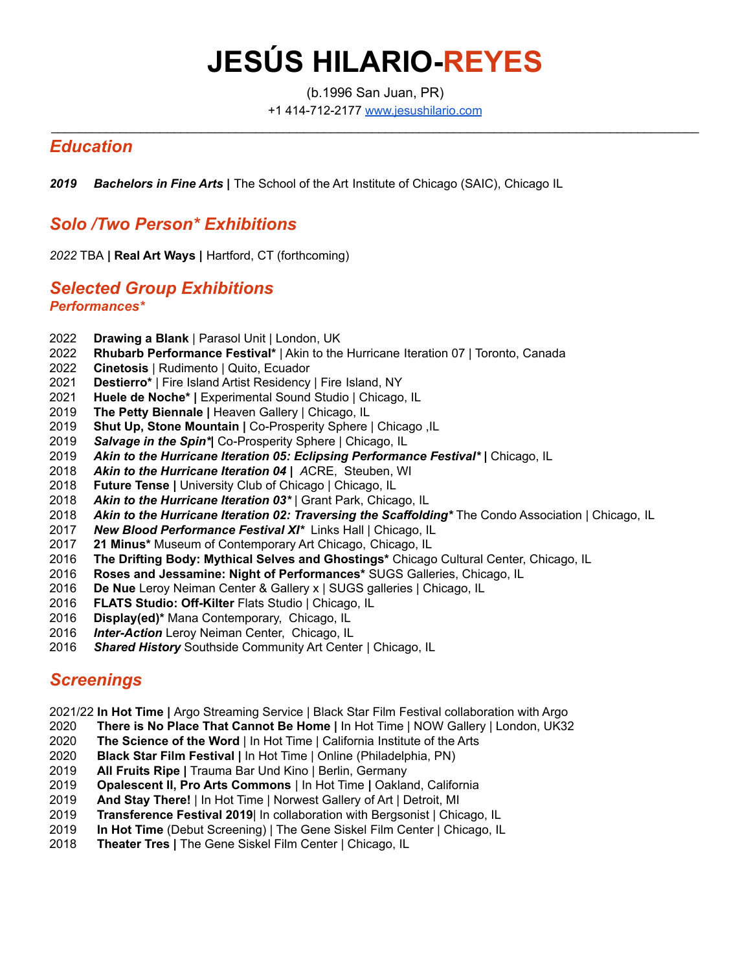# **JESÚS HILARIO-REYES**

(b.1996 San Juan, PR) +1 414-712-2177 [www.jesushilario.com](http://www.jesushilario.com)

 $\_$  ,  $\_$  ,  $\_$  ,  $\_$  ,  $\_$  ,  $\_$  ,  $\_$  ,  $\_$  ,  $\_$  ,  $\_$  ,  $\_$  ,  $\_$  ,  $\_$  ,  $\_$  ,  $\_$  ,  $\_$  ,  $\_$  ,  $\_$  ,  $\_$  ,  $\_$  ,  $\_$  ,  $\_$  ,  $\_$  ,  $\_$  ,  $\_$  ,  $\_$  ,  $\_$  ,  $\_$  ,  $\_$  ,  $\_$  ,  $\_$  ,  $\_$  ,  $\_$  ,  $\_$  ,  $\_$  ,  $\_$  ,  $\_$  ,

#### *Education*

*Bachelors in Fine Arts |* The School of the Art Institute of Chicago (SAIC), Chicago IL

#### *Solo /Two Person\* Exhibitions*

TBA **| Real Art Ways |** Hartford, CT (forthcoming)

#### *Selected Group Exhibitions Performances\**

- **Drawing a Blank** | Parasol Unit | London, UK
- **Rhubarb Performance Festival\*** | Akin to the Hurricane Iteration 07 | Toronto, Canada
- **Cinetosis** | Rudimento | Quito, Ecuador
- **Destierro\*** | Fire Island Artist Residency | Fire Island, NY
- **Huele de Noche\* |** Experimental Sound Studio | Chicago, IL
- **The Petty Biennale |** Heaven Gallery | Chicago, IL
- **Shut Up, Stone Mountain |** Co-Prosperity Sphere | Chicago ,IL
- *Salvage in the Spin\*|* Co-Prosperity Sphere | Chicago, IL
- *Akin to the Hurricane Iteration 05: Eclipsing Performance Festival\* |* Chicago, IL
- *Akin to the Hurricane Iteration 04 | A*CRE, Steuben, WI
- **Future Tense |** University Club of Chicago | Chicago, IL
- *Akin to the Hurricane Iteration 03\** | Grant Park, Chicago, IL
- *Akin to the Hurricane Iteration 02: Traversing the Scaffolding\** The Condo Association | Chicago, IL
- *New Blood Performance Festival XI\** Links Hall | Chicago, IL
- **21 Minus\*** Museum of Contemporary Art Chicago, Chicago, IL
- **The Drifting Body: Mythical Selves and Ghostings\*** Chicago Cultural Center, Chicago, IL
- **Roses and Jessamine: Night of Performances\*** SUGS Galleries, Chicago, IL
- **De Nue** Leroy Neiman Center & Gallery x | SUGS galleries | Chicago, IL
- **FLATS Studio: Off-Kilter** Flats Studio | Chicago, IL
- **Display(ed)\*** Mana Contemporary, Chicago, IL
- *Inter-Action* Leroy Neiman Center, Chicago, IL
- *Shared History* Southside Community Art Center | Chicago, IL

#### *Screenings*

2021/22 **In Hot Time |** Argo Streaming Service | Black Star Film Festival collaboration with Argo

- **There is No Place That Cannot Be Home |** In Hot Time | NOW Gallery | London, UK32
- **The Science of the Word** | In Hot Time | California Institute of the Arts
- **Black Star Film Festival |** In Hot Time | Online (Philadelphia, PN)
- **All Fruits Ripe |** Trauma Bar Und Kino | Berlin, Germany
- **Opalescent II, Pro Arts Commons** | In Hot Time **|** Oakland, California
- **And Stay There!** | In Hot Time | Norwest Gallery of Art | Detroit, MI
- **Transference Festival 2019**| In collaboration with Bergsonist | Chicago, IL
- **In Hot Time** (Debut Screening) | The Gene Siskel Film Center | Chicago, IL
- **Theater Tres |** The Gene Siskel Film Center | Chicago, IL